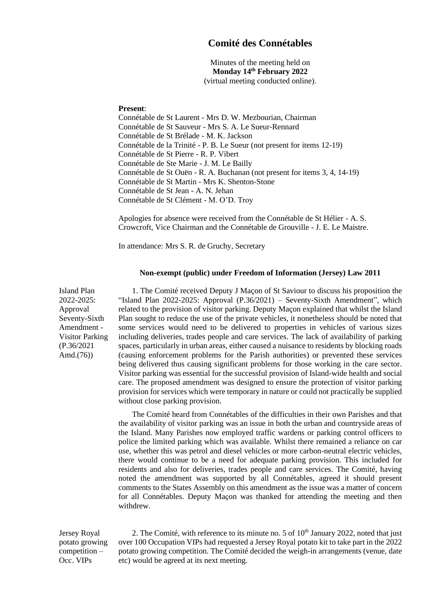## **Comité des Connétables**

Minutes of the meeting held on **Monday 14th February 2022** (virtual meeting conducted online).

## **Present**:

Connétable de St Laurent - Mrs D. W. Mezbourian, Chairman Connétable de St Sauveur - Mrs S. A. Le Sueur-Rennard Connétable de St Brélade - M. K. Jackson Connétable de la Trinité - P. B. Le Sueur (not present for items 12-19) Connétable de St Pierre - R. P. Vibert Connétable de Ste Marie - J. M. Le Bailly Connétable de St Ouën - R. A. Buchanan (not present for items 3, 4, 14-19) Connétable de St Martin - Mrs K. Shenton-Stone Connétable de St Jean - A. N. Jehan Connétable de St Clément - M. O'D. Troy

Apologies for absence were received from the Connétable de St Hélier - A. S. Crowcroft, Vice Chairman and the Connétable de Grouville - J. E. Le Maistre.

In attendance: Mrs S. R. de Gruchy, Secretary

## **Non-exempt (public) under Freedom of Information (Jersey) Law 2011**

Island Plan 2022-2025: Approval Seventy-Sixth Amendment - Visitor Parking (P.36/202[1](file:///C:/Users/SueDeGruchy_528m0so/AppData/Local/Microsoft/Windows/INetCache/Content.Outlook/HPIHUW8E/P.36-2021%20Amd.(76).pdf) [Amd.\(76\)\)](file:///C:/Users/SueDeGruchy_528m0so/AppData/Local/Microsoft/Windows/INetCache/Content.Outlook/HPIHUW8E/P.36-2021%20Amd.(76).pdf)

1. The Comité received Deputy J Maçon of St Saviour to discuss his proposition the "Island Plan 2022-2025: Approval (P.36/2021) – Seventy-Sixth Amendment", which related to the provision of visitor parking. Deputy Maçon explained that whilst the Island Plan sought to reduce the use of the private vehicles, it nonetheless should be noted that some services would need to be delivered to properties in vehicles of various sizes including deliveries, trades people and care services. The lack of availability of parking spaces, particularly in urban areas, either caused a nuisance to residents by blocking roads (causing enforcement problems for the Parish authorities) or prevented these services being delivered thus causing significant problems for those working in the care sector. Visitor parking was essential for the successful provision of Island-wide health and social care. The proposed amendment was designed to ensure the protection of visitor parking provision for services which were temporary in nature or could not practically be supplied without close parking provision.

The Comité heard from Connétables of the difficulties in their own Parishes and that the availability of visitor parking was an issue in both the urban and countryside areas of the Island. Many Parishes now employed traffic wardens or parking control officers to police the limited parking which was available. Whilst there remained a reliance on car use, whether this was petrol and diesel vehicles or more carbon-neutral electric vehicles, there would continue to be a need for adequate parking provision. This included for residents and also for deliveries, trades people and care services. The Comité, having noted the amendment was supported by all Connétables, agreed it should present comments to the States Assembly on this amendment as the issue was a matter of concern for all Connétables. Deputy Maçon was thanked for attending the meeting and then withdrew.

Jersey Royal potato growing competition – Occ. VIPs

2. The Comité, with reference to its minute no. 5 of  $10<sup>th</sup>$  January 2022, noted that just over 100 Occupation VIPs had requested a Jersey Royal potato kit to take part in the 2022 potato growing competition. The Comité decided the weigh-in arrangements (venue, date etc) would be agreed at its next meeting.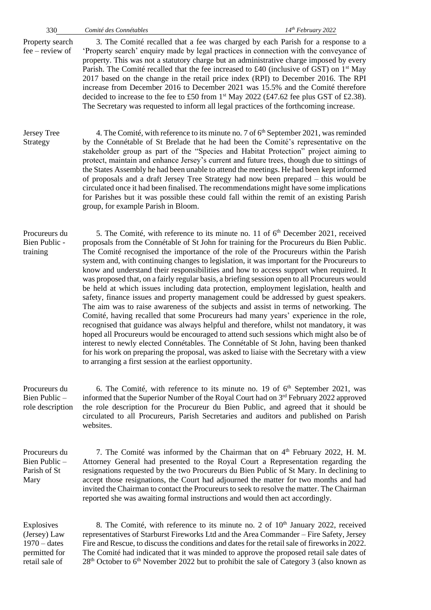Property search fee – review of 3. The Comité recalled that a fee was charged by each Parish for a response to a 'Property search' enquiry made by legal practices in connection with the conveyance of property. This was not a statutory charge but an administrative charge imposed by every Parish. The Comité recalled that the fee increased to £40 (inclusive of GST) on  $1<sup>st</sup>$  May 2017 based on the change in the retail price index (RPI) to December 2016. The RPI increase from December 2016 to December 2021 was 15.5% and the Comité therefore decided to increase to the fee to £50 from  $1<sup>st</sup>$  May 2022 (£47.62 fee plus GST of £2.38). The Secretary was requested to inform all legal practices of the forthcoming increase.

Jersey Tree Strategy 4. The Comité, with reference to its minute no. 7 of 6<sup>th</sup> September 2021, was reminded by the Connétable of St Brelade that he had been the Comité's representative on the stakeholder group as part of the "Species and Habitat Protection" project aiming to protect, maintain and enhance Jersey's current and future trees, though due to sittings of the States Assembly he had been unable to attend the meetings. He had been kept informed of proposals and a draft Jersey Tree Strategy had now been prepared – this would be circulated once it had been finalised. The recommendations might have some implications for Parishes but it was possible these could fall within the remit of an existing Parish group, for example Parish in Bloom.

Procureurs du Bien Public training 5. The Comité, with reference to its minute no. 11 of 6<sup>th</sup> December 2021, received proposals from the Connétable of St John for training for the Procureurs du Bien Public. The Comité recognised the importance of the role of the Procureurs within the Parish system and, with continuing changes to legislation, it was important for the Procureurs to know and understand their responsibilities and how to access support when required. It was proposed that, on a fairly regular basis, a briefing session open to all Procureurs would be held at which issues including data protection, employment legislation, health and safety, finance issues and property management could be addressed by guest speakers. The aim was to raise awareness of the subjects and assist in terms of networking. The Comité, having recalled that some Procureurs had many years' experience in the role, recognised that guidance was always helpful and therefore, whilst not mandatory, it was hoped all Procureurs would be encouraged to attend such sessions which might also be of interest to newly elected Connétables. The Connétable of St John, having been thanked for his work on preparing the proposal, was asked to liaise with the Secretary with a view to arranging a first session at the earliest opportunity.

Procureurs du Bien Public – role description 6. The Comité, with reference to its minute no. 19 of  $6<sup>th</sup>$  September 2021, was informed that the Superior Number of the Royal Court had on 3rd February 2022 approved the role description for the Procureur du Bien Public, and agreed that it should be circulated to all Procureurs, Parish Secretaries and auditors and published on Parish websites.

Procureurs du Bien Public – Parish of St Mary 7. The Comité was informed by the Chairman that on 4<sup>th</sup> February 2022, H. M. Attorney General had presented to the Royal Court a Representation regarding the resignations requested by the two Procureurs du Bien Public of St Mary. In declining to accept those resignations, the Court had adjourned the matter for two months and had invited the Chairman to contact the Procureurs to seek to resolve the matter. The Chairman reported she was awaiting formal instructions and would then act accordingly.

Explosives (Jersey) Law 1970 – dates permitted for retail sale of 8. The Comité, with reference to its minute no. 2 of  $10<sup>th</sup>$  January 2022, received representatives of Starburst Fireworks Ltd and the Area Commander – Fire Safety, Jersey Fire and Rescue, to discuss the conditions and dates for the retail sale of fireworks in 2022. The Comité had indicated that it was minded to approve the proposed retail sale dates of  $28<sup>th</sup>$  October to 6<sup>th</sup> November 2022 but to prohibit the sale of Category 3 (also known as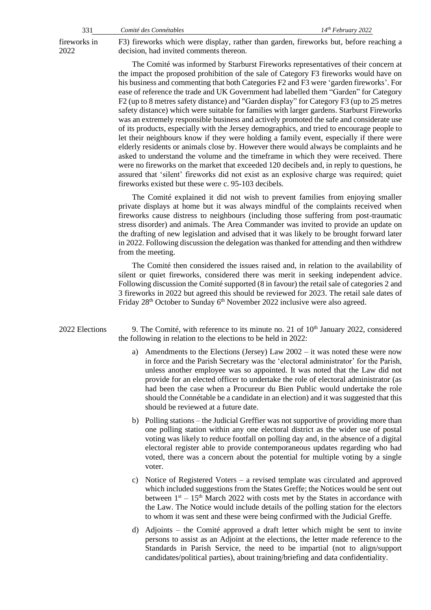2022

fireworks in F3) fireworks which were display, rather than garden, fireworks but, before reaching a decision, had invited comments thereon.

> The Comité was informed by Starburst Fireworks representatives of their concern at the impact the proposed prohibition of the sale of Category F3 fireworks would have on his business and commenting that both Categories F2 and F3 were 'garden fireworks'. For ease of reference the trade and UK Government had labelled them "Garden" for Category F2 (up to 8 metres safety distance) and "Garden display" for Category F3 (up to 25 metres safety distance) which were suitable for families with larger gardens. Starburst Fireworks was an extremely responsible business and actively promoted the safe and considerate use of its products, especially with the Jersey demographics, and tried to encourage people to let their neighbours know if they were holding a family event, especially if there were elderly residents or animals close by. However there would always be complaints and he asked to understand the volume and the timeframe in which they were received. There were no fireworks on the market that exceeded 120 decibels and, in reply to questions, he assured that 'silent' fireworks did not exist as an explosive charge was required; quiet fireworks existed but these were c. 95-103 decibels.

> The Comité explained it did not wish to prevent families from enjoying smaller private displays at home but it was always mindful of the complaints received when fireworks cause distress to neighbours (including those suffering from post-traumatic stress disorder) and animals. The Area Commander was invited to provide an update on the drafting of new legislation and advised that it was likely to be brought forward later in 2022. Following discussion the delegation was thanked for attending and then withdrew from the meeting.

> The Comité then considered the issues raised and, in relation to the availability of silent or quiet fireworks, considered there was merit in seeking independent advice. Following discussion the Comité supported (8 in favour) the retail sale of categories 2 and 3 fireworks in 2022 but agreed this should be reviewed for 2023. The retail sale dates of Friday 28<sup>th</sup> October to Sunday 6<sup>th</sup> November 2022 inclusive were also agreed.

2022 Elections 9. The Comité, with reference to its minute no. 21 of  $10<sup>th</sup>$  January 2022, considered the following in relation to the elections to be held in 2022:

- a) Amendments to the Elections (Jersey) Law 2002 it was noted these were now in force and the Parish Secretary was the 'electoral administrator' for the Parish, unless another employee was so appointed. It was noted that the Law did not provide for an elected officer to undertake the role of electoral administrator (as had been the case when a Procureur du Bien Public would undertake the role should the Connétable be a candidate in an election) and it was suggested that this should be reviewed at a future date.
- b) Polling stations the Judicial Greffier was not supportive of providing more than one polling station within any one electoral district as the wider use of postal voting was likely to reduce footfall on polling day and, in the absence of a digital electoral register able to provide contemporaneous updates regarding who had voted, there was a concern about the potential for multiple voting by a single voter.
- c) Notice of Registered Voters a revised template was circulated and approved which included suggestions from the States Greffe; the Notices would be sent out between  $1<sup>st</sup> - 15<sup>th</sup>$  March 2022 with costs met by the States in accordance with the Law. The Notice would include details of the polling station for the electors to whom it was sent and these were being confirmed with the Judicial Greffe.
- d) Adjoints the Comité approved a draft letter which might be sent to invite persons to assist as an Adjoint at the elections, the letter made reference to the Standards in Parish Service, the need to be impartial (not to align/support candidates/political parties), about training/briefing and data confidentiality.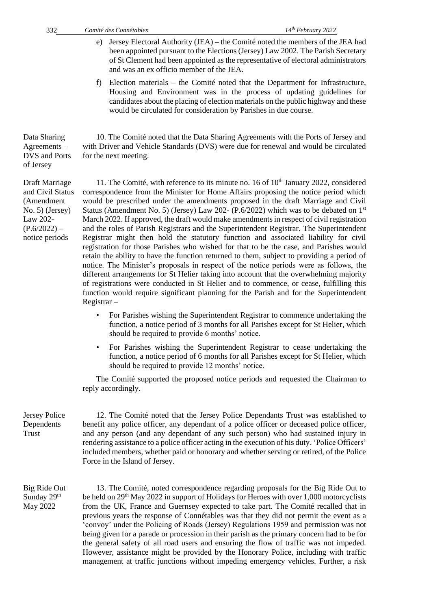of Jersey

Draft Marriage

(Amendment No. 5) (Jersey) Law 202-  $(P.6/2022)$  – notice periods

- e) Jersey Electoral Authority (JEA) the Comité noted the members of the JEA had been appointed pursuant to the Elections (Jersey) Law 2002. The Parish Secretary of St Clement had been appointed as the representative of electoral administrators and was an ex officio member of the JEA.
- f) Election materials the Comité noted that the Department for Infrastructure, Housing and Environment was in the process of updating guidelines for candidates about the placing of election materials on the public highway and these would be circulated for consideration by Parishes in due course.

Data Sharing Agreements – DVS and Ports 10. The Comité noted that the Data Sharing Agreements with the Ports of Jersey and with Driver and Vehicle Standards (DVS) were due for renewal and would be circulated for the next meeting.

and Civil Status 11. The Comité, with reference to its minute no. 16 of  $10<sup>th</sup>$  January 2022, considered correspondence from the Minister for Home Affairs proposing the notice period which would be prescribed under the amendments proposed in the draft Marriage and Civil Status (Amendment No. 5) (Jersey) Law 202- (P.6/2022) which was to be debated on  $1<sup>st</sup>$ March 2022. If approved, the draft would make amendments in respect of civil registration and the roles of Parish Registrars and the Superintendent Registrar. The Superintendent Registrar might then hold the statutory function and associated liability for civil registration for those Parishes who wished for that to be the case, and Parishes would retain the ability to have the function returned to them, subject to providing a period of notice. The Minister's proposals in respect of the notice periods were as follows, the different arrangements for St Helier taking into account that the overwhelming majority of registrations were conducted in St Helier and to commence, or cease, fulfilling this function would require significant planning for the Parish and for the Superintendent Registrar –

- For Parishes wishing the Superintendent Registrar to commence undertaking the function, a notice period of 3 months for all Parishes except for St Helier, which should be required to provide 6 months' notice.
- For Parishes wishing the Superintendent Registrar to cease undertaking the function, a notice period of 6 months for all Parishes except for St Helier, which should be required to provide 12 months' notice.

The Comité supported the proposed notice periods and requested the Chairman to reply accordingly.

Jersey Police Dependents Trust 12. The Comité noted that the Jersey Police Dependants Trust was established to benefit any police officer, any dependant of a police officer or deceased police officer, and any person (and any dependant of any such person) who had sustained injury in rendering assistance to a police officer acting in the execution of his duty. 'Police Officers' included members, whether paid or honorary and whether serving or retired, of the Police Force in the Island of Jersey.

Big Ride Out Sunday 29<sup>th</sup> May 2022

13. The Comité, noted correspondence regarding proposals for the Big Ride Out to be held on 29<sup>th</sup> May 2022 in support of Holidays for Heroes with over 1,000 motorcyclists from the UK, France and Guernsey expected to take part. The Comité recalled that in previous years the response of Connétables was that they did not permit the event as a 'convoy' under the Policing of Roads (Jersey) Regulations 1959 and permission was not being given for a parade or procession in their parish as the primary concern had to be for the general safety of all road users and ensuring the flow of traffic was not impeded. However, assistance might be provided by the Honorary Police, including with traffic management at traffic junctions without impeding emergency vehicles. Further, a risk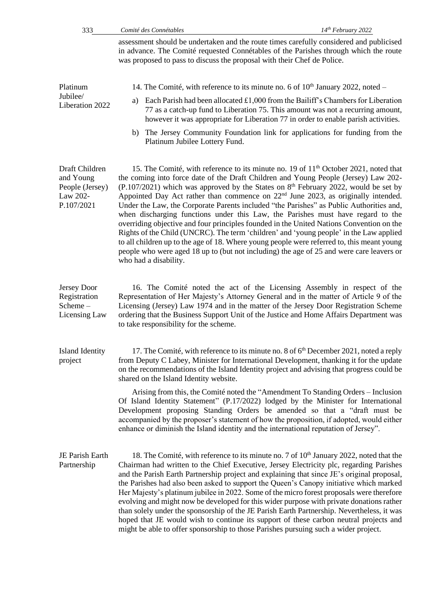| 333                                                                      | Comité des Connétables                                                                                                                                                                                                                                                                                                                                                                                                                                                                                                                                                                                                                                                                                                                                                                                                                                                                                                                                                     | 14th February 2022                                                                                                                                                                                                                                        |
|--------------------------------------------------------------------------|----------------------------------------------------------------------------------------------------------------------------------------------------------------------------------------------------------------------------------------------------------------------------------------------------------------------------------------------------------------------------------------------------------------------------------------------------------------------------------------------------------------------------------------------------------------------------------------------------------------------------------------------------------------------------------------------------------------------------------------------------------------------------------------------------------------------------------------------------------------------------------------------------------------------------------------------------------------------------|-----------------------------------------------------------------------------------------------------------------------------------------------------------------------------------------------------------------------------------------------------------|
|                                                                          | assessment should be undertaken and the route times carefully considered and publicised<br>in advance. The Comité requested Connétables of the Parishes through which the route<br>was proposed to pass to discuss the proposal with their Chef de Police.                                                                                                                                                                                                                                                                                                                                                                                                                                                                                                                                                                                                                                                                                                                 |                                                                                                                                                                                                                                                           |
| Platinum<br>Jubilee/<br>Liberation 2022                                  | 14. The Comité, with reference to its minute no. 6 of $10th$ January 2022, noted –                                                                                                                                                                                                                                                                                                                                                                                                                                                                                                                                                                                                                                                                                                                                                                                                                                                                                         |                                                                                                                                                                                                                                                           |
|                                                                          | a)                                                                                                                                                                                                                                                                                                                                                                                                                                                                                                                                                                                                                                                                                                                                                                                                                                                                                                                                                                         | Each Parish had been allocated £1,000 from the Bailiff's Chambers for Liberation<br>77 as a catch-up fund to Liberation 75. This amount was not a recurring amount,<br>however it was appropriate for Liberation 77 in order to enable parish activities. |
|                                                                          | b)<br>Platinum Jubilee Lottery Fund.                                                                                                                                                                                                                                                                                                                                                                                                                                                                                                                                                                                                                                                                                                                                                                                                                                                                                                                                       | The Jersey Community Foundation link for applications for funding from the                                                                                                                                                                                |
| Draft Children<br>and Young<br>People (Jersey)<br>Law 202-<br>P.107/2021 | 15. The Comité, with reference to its minute no. 19 of 11 <sup>th</sup> October 2021, noted that<br>the coming into force date of the Draft Children and Young People (Jersey) Law 202-<br>$(P.107/2021)$ which was approved by the States on 8 <sup>th</sup> February 2022, would be set by<br>Appointed Day Act rather than commence on $22nd$ June 2023, as originally intended.<br>Under the Law, the Corporate Parents included "the Parishes" as Public Authorities and,<br>when discharging functions under this Law, the Parishes must have regard to the<br>overriding objective and four principles founded in the United Nations Convention on the<br>Rights of the Child (UNCRC). The term 'children' and 'young people' in the Law applied<br>to all children up to the age of 18. Where young people were referred to, this meant young<br>people who were aged 18 up to (but not including) the age of 25 and were care leavers or<br>who had a disability. |                                                                                                                                                                                                                                                           |
| <b>Jersey Door</b><br>Registration<br>Scheme-<br>Licensing Law           | Representation of Her Majesty's Attorney General and in the matter of Article 9 of the<br>Licensing (Jersey) Law 1974 and in the matter of the Jersey Door Registration Scheme<br>ordering that the Business Support Unit of the Justice and Home Affairs Department was<br>to take responsibility for the scheme.                                                                                                                                                                                                                                                                                                                                                                                                                                                                                                                                                                                                                                                         | 16. The Comité noted the act of the Licensing Assembly in respect of the                                                                                                                                                                                  |
| <b>Island Identity</b><br>project                                        | from Deputy C Labey, Minister for International Development, thanking it for the update<br>on the recommendations of the Island Identity project and advising that progress could be<br>shared on the Island Identity website.<br>Of Island Identity Statement" (P.17/2022) lodged by the Minister for International<br>Development proposing Standing Orders be amended so that a "draft must be<br>accompanied by the proposer's statement of how the proposition, if adopted, would either<br>enhance or diminish the Island identity and the international reputation of Jersey".                                                                                                                                                                                                                                                                                                                                                                                      | 17. The Comité, with reference to its minute no. 8 of 6 <sup>th</sup> December 2021, noted a reply<br>Arising from this, the Comité noted the "Amendment To Standing Orders – Inclusion                                                                   |
| JE Parish Earth<br>Partnership                                           | Chairman had written to the Chief Executive, Jersey Electricity plc, regarding Parishes<br>and the Parish Earth Partnership project and explaining that since JE's original proposal,<br>the Parishes had also been asked to support the Queen's Canopy initiative which marked<br>Her Majesty's platinum jubilee in 2022. Some of the micro forest proposals were therefore<br>evolving and might now be developed for this wider purpose with private donations rather<br>than solely under the sponsorship of the JE Parish Earth Partnership. Nevertheless, it was<br>hoped that JE would wish to continue its support of these carbon neutral projects and<br>might be able to offer sponsorship to those Parishes pursuing such a wider project.                                                                                                                                                                                                                     | 18. The Comité, with reference to its minute no. 7 of 10 <sup>th</sup> January 2022, noted that the                                                                                                                                                       |